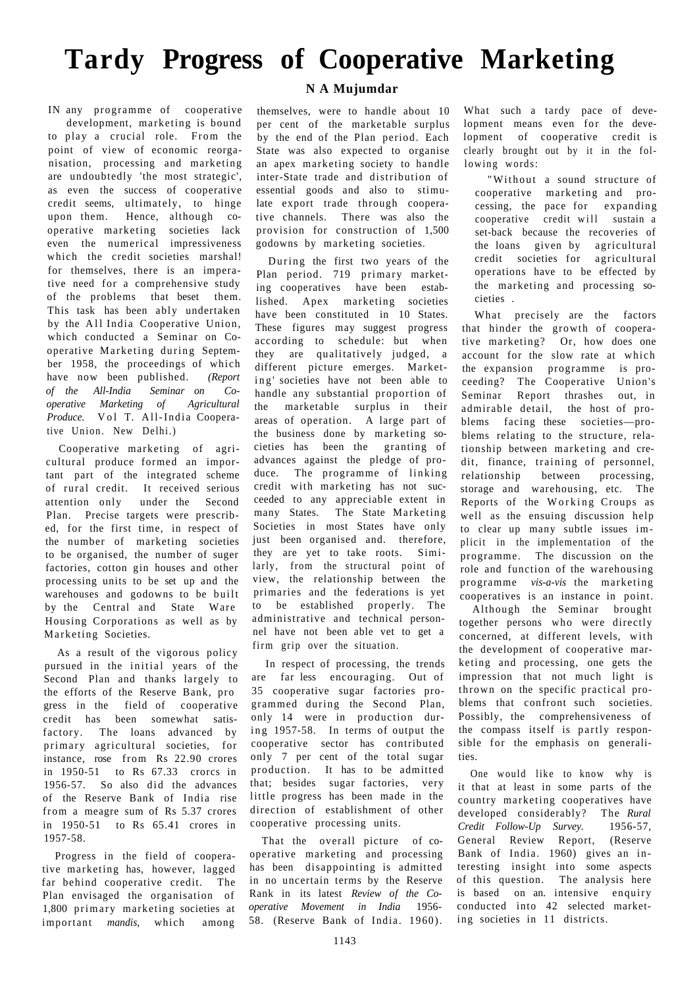## **Tardy Progress of Cooperative Marketing**

IN any programme of cooperative development, marketing is bound to play a crucial role. From the point of view of economic reorganisation, processing and marketing are undoubtedly 'the most strategic', as even the success of cooperative credit seems, ultimately, to hinge upon them. Hence, although cooperative marketing societies lack even the numerical impressiveness which the credit societies marshal! for themselves, there is an imperative need for a comprehensive study of the problems that beset them. This task has been ably undertaken by the All India Cooperative Union, which conducted a Seminar on Cooperative Marketing during September 1958, the proceedings of which have now been published. *(Report of the All-India Seminar on Cooperative Marketing of Agricultural Produce.* Vol T. All-India Cooperative Union. New Delhi.)

Cooperative marketing of agricultural produce formed an important part of the integrated scheme of rural credit. It received serious<br>attention only under the Second under the Second Plan. Precise targets were prescribed, for the first time, in respect of the number of marketing societies to be organised, the number of suger factories, cotton gin houses and other processing units to be set up and the warehouses and godowns to be built by the Central and State Ware Housing Corporations as well as by Marketing Societies.

As a result of the vigorous policy pursued in the initial years of the Second Plan and thanks largely to the efforts of the Reserve Bank, pro gress in the field of cooperative credit has been somewhat satisfactory. The loans advanced by primary agricultural societies, for instance, rose from Rs 22.90 crores in 1950-51 to Rs 67.33 crorcs in 1956-57. So also did the advances of the Reserve Bank of India rise from a meagre sum of Rs 5.37 crores in 1950-51 to Rs 65.41 crores in 1957-58.

Progress in the field of cooperative marketing has, however, lagged far behind cooperative credit. The Plan envisaged the organisation of 1,800 primary marketing societies at important *mandis,* which among

## **N A Mujumdar**

themselves, were to handle about 10 per cent of the marketable surplus by the end of the Plan period. Each State was also expected to organise an apex marketing society to handle inter-State trade and distribution of essential goods and also to stimulate export trade through cooperative channels. There was also the provision for construction of 1,500 godowns by marketing societies.

During the first two years of the Plan period. 719 primary marketing cooperatives have been established. Apex marketing societies have been constituted in 10 States. These figures may suggest progress according to schedule: but when they are qualitatively judged, a different picture emerges. Marketing societies have not been able to handle any substantial proportion of the marketable surplus in their areas of operation. A large part of the business done by marketing societies has been the granting of advances against the pledge of produce. The programme of linking credit with marketing has not succeeded to any appreciable extent in many States. The State Marketing Societies in most States have only just been organised and. therefore, they are yet to take roots. Similarly, from the structural point of view, the relationship between the primaries and the federations is yet to be established properly. The administrative and technical personnel have not been able vet to get a firm grip over the situation.

In respect of processing, the trends are far less encouraging. Out of 35 cooperative sugar factories programmed during the Second Plan, only 14 were in production during  $1957-58$ . In terms of output the cooperative sector has contributed only 7 per cent of the total sugar production. It has to be admitted that; besides sugar factories, very little progress has been made in the direction of establishment of other cooperative processing units.

That the overall picture of cooperative marketing and processing has been disappointing is admitted in no uncertain terms by the Reserve Rank in its latest *Review of the Cooperative Movement in India* 1956- 58. (Reserve Bank of India. 1960).

What such a tardy pace of development means even for the development of cooperative credit is clearly brought out by it in the following words:

"Without a sound structure of cooperative marketing and processing, the pace for expanding cooperative credit will sustain a set-back because the recoveries of the loans given by agricultural credit societies for agricultural operations have to be effected by the marketing and processing societies .

What precisely are the factors that hinder the growth of cooperative marketing? Or, how does one account for the slow rate at which the expansion programme is proceeding? The Cooperative Union's Seminar Report thrashes out, in admirable detail, the host of problems facing these societies—problems relating to the structure, relationship between marketing and credit, finance, training of personnel, relationship between processing, storage and warehousing, etc. The Reports of the Working Croups as well as the ensuing discussion help to clear up many subtle issues implicit in the implementation of the programme. The discussion on the role and function of the warehousing programme *vis-a-vis* the marketing cooperatives is an instance in point.

Although the Seminar brought together persons who were directly concerned, at different levels, with the development of cooperative marketing and processing, one gets the impression that not much light is thrown on the specific practical problems that confront such societies. Possibly, the comprehensiveness of the compass itself is partly responsible for the emphasis on generalities.

One would like to know why is it that at least in some parts of the country marketing cooperatives have developed considerably? The *Rural Credit Follow-Up Survey.* 1956-57, General Review Report, (Reserve Bank of India. 1960) gives an interesting insight into some aspects of this question. The analysis here is based on an. intensive enquiry conducted into 42 selected marketing societies in 11 districts.